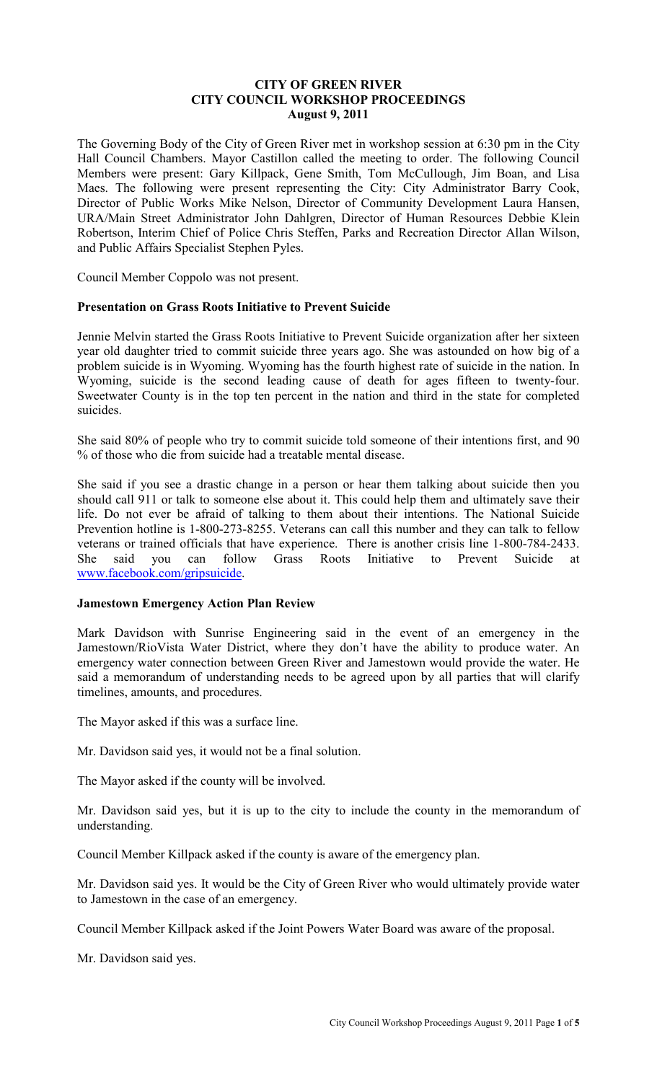### **CITY OF GREEN RIVER CITY COUNCIL WORKSHOP PROCEEDINGS August 9, 2011**

The Governing Body of the City of Green River met in workshop session at 6:30 pm in the City Hall Council Chambers. Mayor Castillon called the meeting to order. The following Council Members were present: Gary Killpack, Gene Smith, Tom McCullough, Jim Boan, and Lisa Maes. The following were present representing the City: City Administrator Barry Cook, Director of Public Works Mike Nelson, Director of Community Development Laura Hansen, URA/Main Street Administrator John Dahlgren, Director of Human Resources Debbie Klein Robertson, Interim Chief of Police Chris Steffen, Parks and Recreation Director Allan Wilson, and Public Affairs Specialist Stephen Pyles.

Council Member Coppolo was not present.

#### **Presentation on Grass Roots Initiative to Prevent Suicide**

Jennie Melvin started the Grass Roots Initiative to Prevent Suicide organization after her sixteen year old daughter tried to commit suicide three years ago. She was astounded on how big of a problem suicide is in Wyoming. Wyoming has the fourth highest rate of suicide in the nation. In Wyoming, suicide is the second leading cause of death for ages fifteen to twenty-four. Sweetwater County is in the top ten percent in the nation and third in the state for completed suicides.

She said 80% of people who try to commit suicide told someone of their intentions first, and 90 % of those who die from suicide had a treatable mental disease.

She said if you see a drastic change in a person or hear them talking about suicide then you should call 911 or talk to someone else about it. This could help them and ultimately save their life. Do not ever be afraid of talking to them about their intentions. The National Suicide Prevention hotline is 1-800-273-8255. Veterans can call this number and they can talk to fellow veterans or trained officials that have experience. There is another crisis line 1-800-784-2433. She said you can follow Grass Roots Initiative to Prevent Suicide at www.facebook.com/gripsuicide.

### **Jamestown Emergency Action Plan Review**

Mark Davidson with Sunrise Engineering said in the event of an emergency in the Jamestown/RioVista Water District, where they don't have the ability to produce water. An emergency water connection between Green River and Jamestown would provide the water. He said a memorandum of understanding needs to be agreed upon by all parties that will clarify timelines, amounts, and procedures.

The Mayor asked if this was a surface line.

Mr. Davidson said yes, it would not be a final solution.

The Mayor asked if the county will be involved.

Mr. Davidson said yes, but it is up to the city to include the county in the memorandum of understanding.

Council Member Killpack asked if the county is aware of the emergency plan.

Mr. Davidson said yes. It would be the City of Green River who would ultimately provide water to Jamestown in the case of an emergency.

Council Member Killpack asked if the Joint Powers Water Board was aware of the proposal.

Mr. Davidson said yes.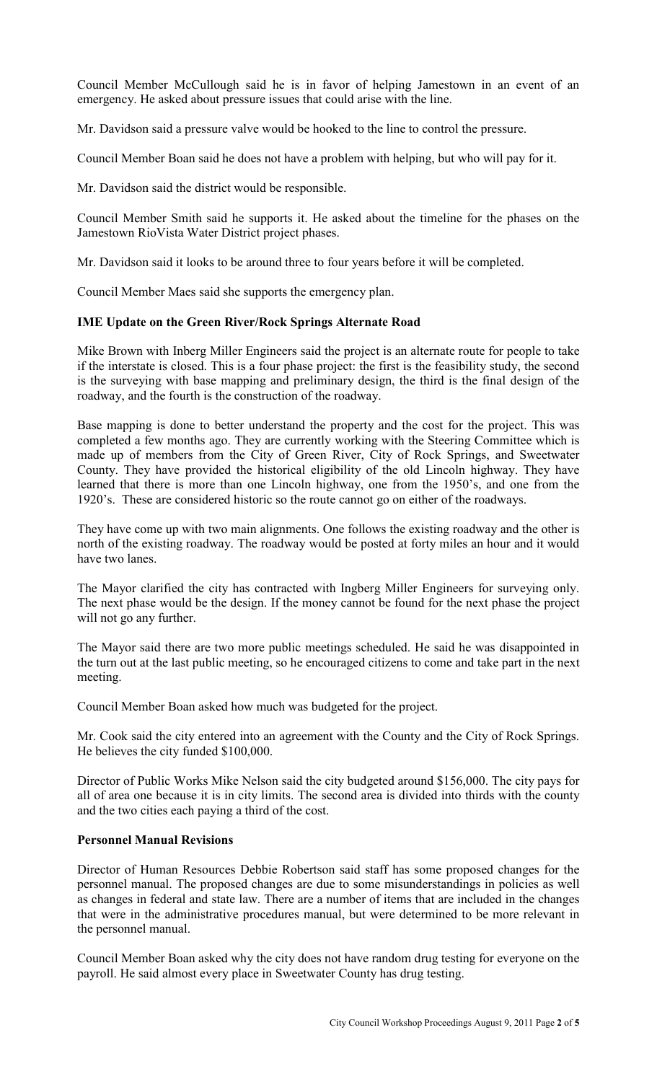Council Member McCullough said he is in favor of helping Jamestown in an event of an emergency. He asked about pressure issues that could arise with the line.

Mr. Davidson said a pressure valve would be hooked to the line to control the pressure.

Council Member Boan said he does not have a problem with helping, but who will pay for it.

Mr. Davidson said the district would be responsible.

Council Member Smith said he supports it. He asked about the timeline for the phases on the Jamestown RioVista Water District project phases.

Mr. Davidson said it looks to be around three to four years before it will be completed.

Council Member Maes said she supports the emergency plan.

# **IME Update on the Green River/Rock Springs Alternate Road**

Mike Brown with Inberg Miller Engineers said the project is an alternate route for people to take if the interstate is closed. This is a four phase project: the first is the feasibility study, the second is the surveying with base mapping and preliminary design, the third is the final design of the roadway, and the fourth is the construction of the roadway.

Base mapping is done to better understand the property and the cost for the project. This was completed a few months ago. They are currently working with the Steering Committee which is made up of members from the City of Green River, City of Rock Springs, and Sweetwater County. They have provided the historical eligibility of the old Lincoln highway. They have learned that there is more than one Lincoln highway, one from the 1950's, and one from the 1920's. These are considered historic so the route cannot go on either of the roadways.

They have come up with two main alignments. One follows the existing roadway and the other is north of the existing roadway. The roadway would be posted at forty miles an hour and it would have two lanes.

The Mayor clarified the city has contracted with Ingberg Miller Engineers for surveying only. The next phase would be the design. If the money cannot be found for the next phase the project will not go any further.

The Mayor said there are two more public meetings scheduled. He said he was disappointed in the turn out at the last public meeting, so he encouraged citizens to come and take part in the next meeting.

Council Member Boan asked how much was budgeted for the project.

Mr. Cook said the city entered into an agreement with the County and the City of Rock Springs. He believes the city funded \$100,000.

Director of Public Works Mike Nelson said the city budgeted around \$156,000. The city pays for all of area one because it is in city limits. The second area is divided into thirds with the county and the two cities each paying a third of the cost.

### **Personnel Manual Revisions**

Director of Human Resources Debbie Robertson said staff has some proposed changes for the personnel manual. The proposed changes are due to some misunderstandings in policies as well as changes in federal and state law. There are a number of items that are included in the changes that were in the administrative procedures manual, but were determined to be more relevant in the personnel manual.

Council Member Boan asked why the city does not have random drug testing for everyone on the payroll. He said almost every place in Sweetwater County has drug testing.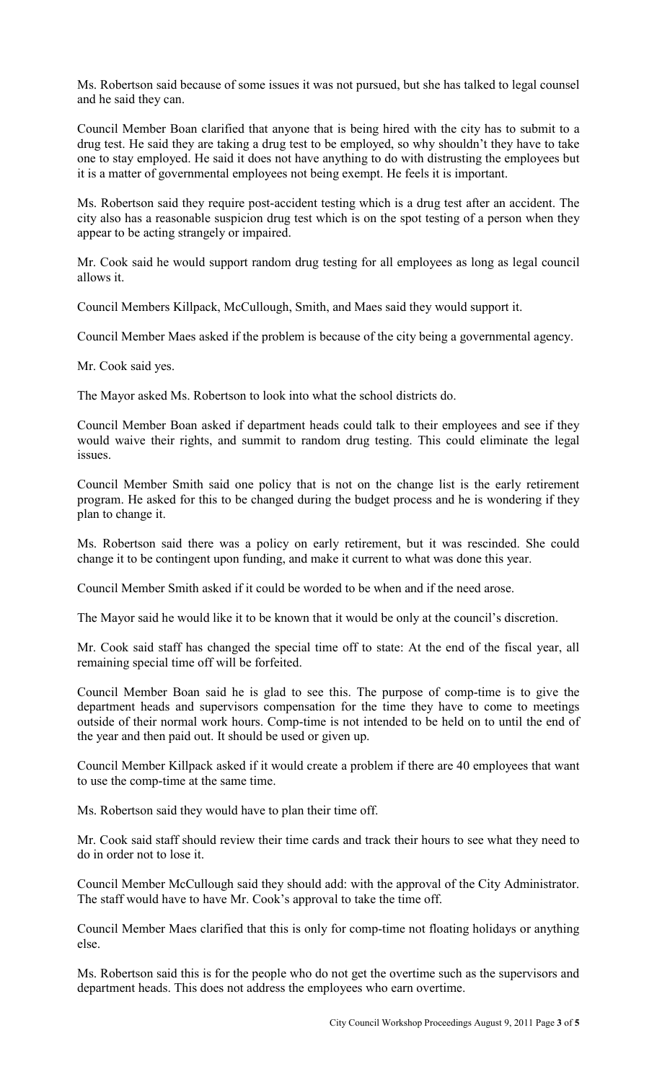Ms. Robertson said because of some issues it was not pursued, but she has talked to legal counsel and he said they can.

Council Member Boan clarified that anyone that is being hired with the city has to submit to a drug test. He said they are taking a drug test to be employed, so why shouldn't they have to take one to stay employed. He said it does not have anything to do with distrusting the employees but it is a matter of governmental employees not being exempt. He feels it is important.

Ms. Robertson said they require post-accident testing which is a drug test after an accident. The city also has a reasonable suspicion drug test which is on the spot testing of a person when they appear to be acting strangely or impaired.

Mr. Cook said he would support random drug testing for all employees as long as legal council allows it.

Council Members Killpack, McCullough, Smith, and Maes said they would support it.

Council Member Maes asked if the problem is because of the city being a governmental agency.

Mr. Cook said yes.

The Mayor asked Ms. Robertson to look into what the school districts do.

Council Member Boan asked if department heads could talk to their employees and see if they would waive their rights, and summit to random drug testing. This could eliminate the legal issues.

Council Member Smith said one policy that is not on the change list is the early retirement program. He asked for this to be changed during the budget process and he is wondering if they plan to change it.

Ms. Robertson said there was a policy on early retirement, but it was rescinded. She could change it to be contingent upon funding, and make it current to what was done this year.

Council Member Smith asked if it could be worded to be when and if the need arose.

The Mayor said he would like it to be known that it would be only at the council's discretion.

Mr. Cook said staff has changed the special time off to state: At the end of the fiscal year, all remaining special time off will be forfeited.

Council Member Boan said he is glad to see this. The purpose of comp-time is to give the department heads and supervisors compensation for the time they have to come to meetings outside of their normal work hours. Comp-time is not intended to be held on to until the end of the year and then paid out. It should be used or given up.

Council Member Killpack asked if it would create a problem if there are 40 employees that want to use the comp-time at the same time.

Ms. Robertson said they would have to plan their time off.

Mr. Cook said staff should review their time cards and track their hours to see what they need to do in order not to lose it.

Council Member McCullough said they should add: with the approval of the City Administrator. The staff would have to have Mr. Cook's approval to take the time off.

Council Member Maes clarified that this is only for comp-time not floating holidays or anything else.

Ms. Robertson said this is for the people who do not get the overtime such as the supervisors and department heads. This does not address the employees who earn overtime.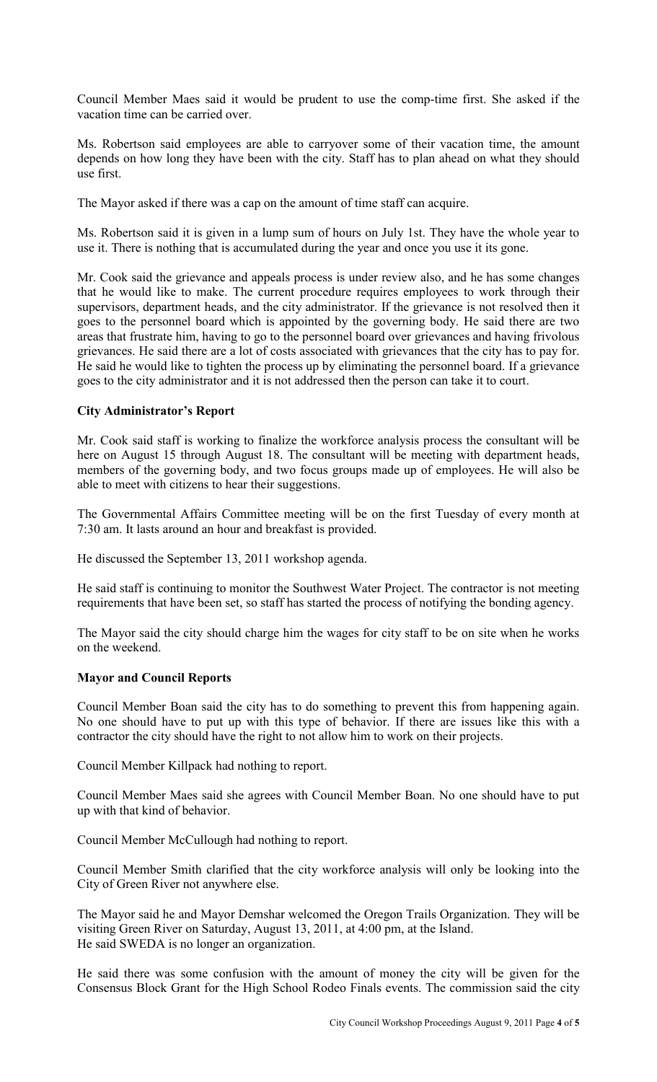Council Member Maes said it would be prudent to use the comp-time first. She asked if the vacation time can be carried over.

Ms. Robertson said employees are able to carryover some of their vacation time, the amount depends on how long they have been with the city. Staff has to plan ahead on what they should use first.

The Mayor asked if there was a cap on the amount of time staff can acquire.

Ms. Robertson said it is given in a lump sum of hours on July 1st. They have the whole year to use it. There is nothing that is accumulated during the year and once you use it its gone.

Mr. Cook said the grievance and appeals process is under review also, and he has some changes that he would like to make. The current procedure requires employees to work through their supervisors, department heads, and the city administrator. If the grievance is not resolved then it goes to the personnel board which is appointed by the governing body. He said there are two areas that frustrate him, having to go to the personnel board over grievances and having frivolous grievances. He said there are a lot of costs associated with grievances that the city has to pay for. He said he would like to tighten the process up by eliminating the personnel board. If a grievance goes to the city administrator and it is not addressed then the person can take it to court.

# **City Administrator's Report**

Mr. Cook said staff is working to finalize the workforce analysis process the consultant will be here on August 15 through August 18. The consultant will be meeting with department heads, members of the governing body, and two focus groups made up of employees. He will also be able to meet with citizens to hear their suggestions.

The Governmental Affairs Committee meeting will be on the first Tuesday of every month at 7:30 am. It lasts around an hour and breakfast is provided.

He discussed the September 13, 2011 workshop agenda.

He said staff is continuing to monitor the Southwest Water Project. The contractor is not meeting requirements that have been set, so staff has started the process of notifying the bonding agency.

The Mayor said the city should charge him the wages for city staff to be on site when he works on the weekend.

### **Mayor and Council Reports**

Council Member Boan said the city has to do something to prevent this from happening again. No one should have to put up with this type of behavior. If there are issues like this with a contractor the city should have the right to not allow him to work on their projects.

Council Member Killpack had nothing to report.

Council Member Maes said she agrees with Council Member Boan. No one should have to put up with that kind of behavior.

Council Member McCullough had nothing to report.

Council Member Smith clarified that the city workforce analysis will only be looking into the City of Green River not anywhere else.

The Mayor said he and Mayor Demshar welcomed the Oregon Trails Organization. They will be visiting Green River on Saturday, August 13, 2011, at 4:00 pm, at the Island. He said SWEDA is no longer an organization.

He said there was some confusion with the amount of money the city will be given for the Consensus Block Grant for the High School Rodeo Finals events. The commission said the city